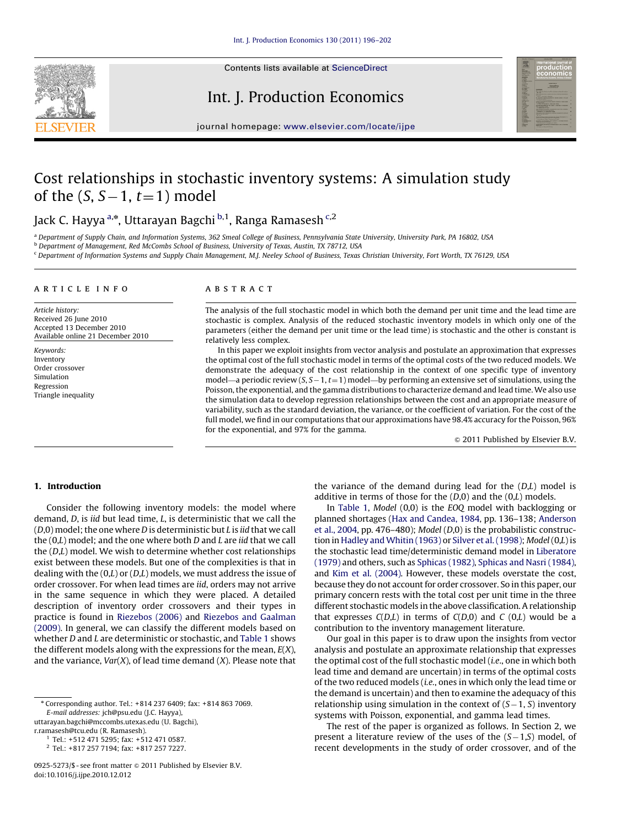

Contents lists available at ScienceDirect

## Int. J. Production Economics



journal homepage: <www.elsevier.com/locate/ijpe>

## Cost relationships in stochastic inventory systems: A simulation study of the (S, S $-1$ ,  $t$ =1) model

Jack C. Hayya <sup>a,\*</sup>, Uttarayan Bagchi <sup>b,1</sup>, Ranga Ramasesh <sup>c,2</sup>

<sup>a</sup> Department of Supply Chain, and Information Systems, 362 Smeal College of Business, Pennsylvania State University, University Park, PA 16802, USA

b Department of Management, Red McCombs School of Business, University of Texas, Austin, TX 78712, USA

<sup>c</sup> Department of Information Systems and Supply Chain Management, M.J. Neeley School of Business, Texas Christian University, Fort Worth, TX 76129, USA

#### article info

Article history: Received 26 June 2010 Accepted 13 December 2010 Available online 21 December 2010

Keywords: Inventory Order crossover Simulation Regression Triangle inequality

### **ABSTRACT**

The analysis of the full stochastic model in which both the demand per unit time and the lead time are stochastic is complex. Analysis of the reduced stochastic inventory models in which only one of the parameters (either the demand per unit time or the lead time) is stochastic and the other is constant is relatively less complex.

In this paper we exploit insights from vector analysis and postulate an approximation that expresses the optimal cost of the full stochastic model in terms of the optimal costs of the two reduced models. We demonstrate the adequacy of the cost relationship in the context of one specific type of inventory model—a periodic review (S, S – 1, t = 1) model—by performing an extensive set of simulations, using the Poisson, the exponential, and the gamma distributions to characterize demand and lead time. We also use the simulation data to develop regression relationships between the cost and an appropriate measure of variability, such as the standard deviation, the variance, or the coefficient of variation. For the cost of the full model, we find in our computations that our approximations have 98.4% accuracy for the Poisson, 96% for the exponential, and 97% for the gamma.

 $@$  2011 Published by Elsevier B.V.

## 1. Introduction

Consider the following inventory models: the model where demand, D, is iid but lead time, L, is deterministic that we call the  $(D,0)$  model; the one where *D* is deterministic but *L* is *iid* that we call the  $(0,L)$  model; and the one where both  $D$  and  $L$  are *iid* that we call the  $(D,L)$  model. We wish to determine whether cost relationships exist between these models. But one of the complexities is that in dealing with the  $(0,L)$  or  $(D,L)$  models, we must address the issue of order crossover. For when lead times are iid, orders may not arrive in the same sequence in which they were placed. A detailed description of inventory order crossovers and their types in practice is found in [Riezebos \(2006\)](#page--1-0) and [Riezebos and Gaalman](#page--1-0) [\(2009\).](#page--1-0) In general, we can classify the different models based on whether D and L are deterministic or stochastic, and [Table 1](#page-1-0) shows the different models along with the expressions for the mean,  $E(X)$ , and the variance,  $Var(X)$ , of lead time demand  $(X)$ . Please note that

[uttarayan.bagchi@mccombs.utexas.edu \(U. Bagchi\),](mailto:uttarayan.bagchi@mccombs.utexas.edu)

<sup>2</sup> Tel.: +817 257 7194; fax: +817 257 7227.

the variance of the demand during lead for the  $(D,L)$  model is additive in terms of those for the  $(D,0)$  and the  $(0,L)$  models.

In [Table 1,](#page-1-0) Model (0,0) is the EOQ model with backlogging or planned shortages ([Hax and Candea, 1984](#page--1-0), pp. 136–138; [Anderson](#page--1-0) [et al., 2004](#page--1-0), pp. 476–480); Model (D,0) is the probabilistic construc-tion in Hadley and Whitin (1963) or [Silver et al. \(1998\);](#page--1-0) Model (0,L) is the stochastic lead time/deterministic demand model in [Liberatore](#page--1-0) [\(1979\)](#page--1-0) and others, such as [Sphicas \(1982\)](#page--1-0), [Sphicas and Nasri \(1984\),](#page--1-0) and [Kim et al. \(2004\).](#page--1-0) However, these models overstate the cost, because they do not account for order crossover. So in this paper, our primary concern rests with the total cost per unit time in the three different stochastic models in the above classification. A relationship that expresses  $C(D,L)$  in terms of  $C(D,0)$  and C  $(0,L)$  would be a contribution to the inventory management literature.

Our goal in this paper is to draw upon the insights from vector analysis and postulate an approximate relationship that expresses the optimal cost of the full stochastic model (i.e., one in which both lead time and demand are uncertain) in terms of the optimal costs of the two reduced models (i.e., ones in which only the lead time or the demand is uncertain) and then to examine the adequacy of this relationship using simulation in the context of  $(S-1, S)$  inventory systems with Poisson, exponential, and gamma lead times.

The rest of the paper is organized as follows. In Section 2, we present a literature review of the uses of the  $(S-1, S)$  model, of recent developments in the study of order crossover, and of the

<sup>n</sup> Corresponding author. Tel.: +814 237 6409; fax: +814 863 7069. E-mail addresses: [jch@psu.edu \(J.C. Hayya\),](mailto:jch@psu.edu)

[r.ramasesh@tcu.edu \(R. Ramasesh\)](mailto:r.ramasesh@tcu.edu).

<sup>1</sup> Tel.: +512 471 5295; fax: +512 471 0587.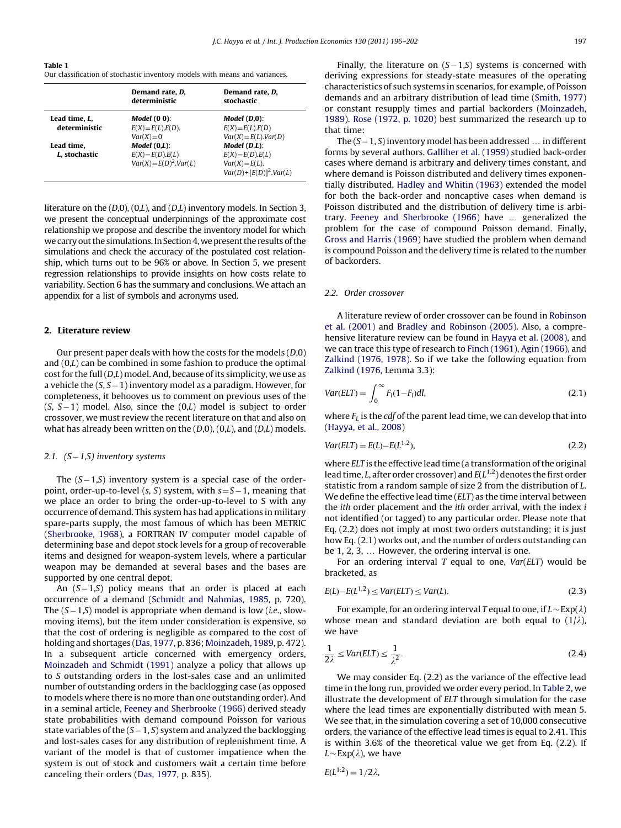<span id="page-1-0"></span>Table 1 Our classification of stochastic inventory models with means and variances.

|                                | Demand rate, D,<br>deterministic                                 | Demand rate, D,<br>stochastic                                                           |
|--------------------------------|------------------------------------------------------------------|-----------------------------------------------------------------------------------------|
| Lead time, L,<br>deterministic | Model $(0 0)$ :<br>$E(X) = E(L)E(D)$ .<br>$Var(X) = 0$           | Model (D,0):<br>$E(X) = E(L)E(D)$<br>$Var(X) = E(L)$ , $Var(D)$                         |
| Lead time.<br>L. stochastic    | $Model(0,L)$ :<br>$E(X)=E(D).E(L)$<br>$Var(X) = E(D)^2$ . Var(L) | Model (D,L):<br>$E(X)=E(D).E(L)$<br>$Var(X) = E(L)$ .<br>$Var(D) + [E(D)]^2$ . $Var(L)$ |

literature on the (D,0), (0,L), and (D,L) inventory models. In Section 3, we present the conceptual underpinnings of the approximate cost relationship we propose and describe the inventory model for which we carry out the simulations. In Section 4, we present the results of the simulations and check the accuracy of the postulated cost relationship, which turns out to be 96% or above. In Section 5, we present regression relationships to provide insights on how costs relate to variability. Section 6 has the summary and conclusions. We attach an appendix for a list of symbols and acronyms used.

## 2. Literature review

Our present paper deals with how the costs for the models  $(D,0)$ and (0,L) can be combined in some fashion to produce the optimal cost for the full (D,L) model. And, because of its simplicity, we use as a vehicle the  $(S, S-1)$  inventory model as a paradigm. However, for completeness, it behooves us to comment on previous uses of the  $(S, S-1)$  model. Also, since the  $(0,L)$  model is subject to order crossover, we must review the recent literature on that and also on what has already been written on the  $(D,0)$ ,  $(0,L)$ , and  $(D,L)$  models.

### 2.1. (S-1,S) inventory systems

The  $(S-1, S)$  inventory system is a special case of the orderpoint, order-up-to-level  $(s, S)$  system, with  $s = S - 1$ , meaning that we place an order to bring the order-up-to-level to S with any occurrence of demand. This system has had applications in military spare-parts supply, the most famous of which has been METRIC ([Sherbrooke, 1968](#page--1-0)), a FORTRAN IV computer model capable of determining base and depot stock levels for a group of recoverable items and designed for weapon-system levels, where a particular weapon may be demanded at several bases and the bases are supported by one central depot.

An (S-1,S) policy means that an order is placed at each occurrence of a demand ([Schmidt and Nahmias, 1985,](#page--1-0) p. 720). The  $(S-1, S)$  model is appropriate when demand is low (*i.e.*, slowmoving items), but the item under consideration is expensive, so that the cost of ordering is negligible as compared to the cost of holding and shortages ([Das, 1977,](#page--1-0) p. 836; [Moinzadeh, 1989](#page--1-0), p. 472). In a subsequent article concerned with emergency orders, [Moinzadeh and Schmidt \(1991\)](#page--1-0) analyze a policy that allows up to S outstanding orders in the lost-sales case and an unlimited number of outstanding orders in the backlogging case (as opposed to models where there is no more than one outstanding order). And in a seminal article, [Feeney and Sherbrooke \(1966\)](#page--1-0) derived steady state probabilities with demand compound Poisson for various state variables of the (S – 1, S) system and analyzed the backlogging and lost-sales cases for any distribution of replenishment time. A variant of the model is that of customer impatience when the system is out of stock and customers wait a certain time before canceling their orders ([Das, 1977,](#page--1-0) p. 835).

Finally, the literature on  $(S-1, S)$  systems is concerned with deriving expressions for steady-state measures of the operating characteristics of such systems in scenarios, for example, of Poisson demands and an arbitrary distribution of lead time [\(Smith, 1977\)](#page--1-0) or constant resupply times and partial backorders [\(Moinzadeh,](#page--1-0) [1989\)](#page--1-0). [Rose \(1972, p. 1020\)](#page--1-0) best summarized the research up to that time:

The  $(S-1, S)$  inventory model has been addressed  $\ldots$  in different forms by several authors. [Galliher et al. \(1959\)](#page--1-0) studied back-order cases where demand is arbitrary and delivery times constant, and where demand is Poisson distributed and delivery times exponentially distributed. [Hadley and Whitin \(1963\)](#page--1-0) extended the model for both the back-order and noncaptive cases when demand is Poisson distributed and the distribution of delivery time is arbi-trary. [Feeney and Sherbrooke \(1966\)](#page--1-0) have ... generalized the problem for the case of compound Poisson demand. Finally, [Gross and Harris \(1969\)](#page--1-0) have studied the problem when demand is compound Poisson and the delivery time is related to the number of backorders.

## 2.2. Order crossover

A literature review of order crossover can be found in [Robinson](#page--1-0) [et al. \(2001\)](#page--1-0) and [Bradley and Robinson \(2005\)](#page--1-0). Also, a comprehensive literature review can be found in [Hayya et al. \(2008\)](#page--1-0), and we can trace this type of research to [Finch \(1961\)](#page--1-0), [Agin \(1966\),](#page--1-0) and [Zalkind \(1976, 1978\).](#page--1-0) So if we take the following equation from [Zalkind \(1976,](#page--1-0) Lemma 3.3):

$$
Var(ELT) = \int_0^\infty F_l(1 - F_l)dl,
$$
\n(2.1)

where  $F<sub>L</sub>$  is the cdf of the parent lead time, we can develop that into ([Hayya, et al., 2008](#page--1-0))

$$
Var(ELT) = E(L) - E(L^{1,2}),
$$
\n(2.2)

where ELT is the effective lead time (a transformation of the original lead time, L, after order crossover) and  $E(L^{1,2})$  denotes the first order statistic from a random sample of size 2 from the distribution of L. We define the effective lead time (ELT) as the time interval between the ith order placement and the ith order arrival, with the index i not identified (or tagged) to any particular order. Please note that Eq. (2.2) does not imply at most two orders outstanding; it is just how Eq. (2.1) works out, and the number of orders outstanding can be  $1, 2, 3, \ldots$  However, the ordering interval is one.

For an ordering interval  $T$  equal to one,  $Var(ELT)$  would be bracketed, as

$$
E(L) - E(L^{1,2}) \leq Var(ELT) \leq Var(L). \tag{2.3}
$$

For example, for an ordering interval T equal to one, if  $L \sim \text{Exp}(\lambda)$ whose mean and standard deviation are both equal to  $(1/\lambda)$ , we have

$$
\frac{1}{2\lambda} \leq Var(ELT) \leq \frac{1}{\lambda^2}.
$$
\n(2.4)

We may consider Eq. (2.2) as the variance of the effective lead time in the long run, provided we order every period. In [Table 2,](#page--1-0) we illustrate the development of ELT through simulation for the case where the lead times are exponentially distributed with mean 5. We see that, in the simulation covering a set of 10,000 consecutive orders, the variance of the effective lead times is equal to 2.41. This is within 3.6% of the theoretical value we get from Eq. (2.2). If  $L \sim \text{Exp}(\lambda)$ , we have

$$
E(L^{1:2})=1/2\lambda,
$$